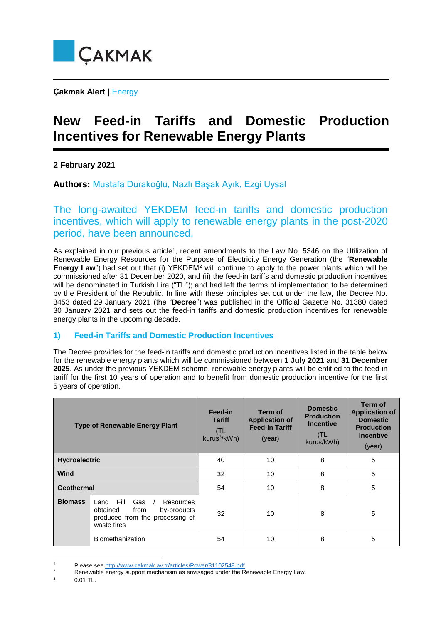

**Çakmak Alert** | Energy

## **New Feed-in Tariffs and Domestic Production Incentives for Renewable Energy Plants**

**2 February 2021**

**Authors:** Mustafa Durakoğlu, Nazlı Başak Ayık, Ezgi Uysal

The long-awaited YEKDEM feed-in tariffs and domestic production incentives, which will apply to renewable energy plants in the post-2020 period, have been announced.

As explained in our previous article<sup>1</sup>, recent amendments to the Law No. 5346 on the Utilization of Renewable Energy Resources for the Purpose of Electricity Energy Generation (the "**Renewable Energy Law**") had set out that (i) YEKDEM<sup>2</sup> will continue to apply to the power plants which will be commissioned after 31 December 2020, and (ii) the feed-in tariffs and domestic production incentives will be denominated in Turkish Lira ("**TL**"); and had left the terms of implementation to be determined by the President of the Republic. In line with these principles set out under the law, the Decree No. 3453 dated 29 January 2021 (the "**Decree**") was published in the Official Gazette No. 31380 dated 30 January 2021 and sets out the feed-in tariffs and domestic production incentives for renewable energy plants in the upcoming decade.

## **1) Feed-in Tariffs and Domestic Production Incentives**

The Decree provides for the feed-in tariffs and domestic production incentives listed in the table below for the renewable energy plants which will be commissioned between **1 July 2021** and **31 December 2025**. As under the previous YEKDEM scheme, renewable energy plants will be entitled to the feed-in tariff for the first 10 years of operation and to benefit from domestic production incentive for the first 5 years of operation.

| <b>Type of Renewable Energy Plant</b> |                                                                                                                       | Feed-in<br><b>Tariff</b><br>(TL<br>kurus <sup>3</sup> /kWh) | Term of<br><b>Application of</b><br><b>Feed-in Tariff</b><br>(year) | <b>Domestic</b><br><b>Production</b><br><b>Incentive</b><br>(TL<br>kurus/kWh) | Term of<br><b>Application of</b><br><b>Domestic</b><br><b>Production</b><br><b>Incentive</b><br>(year) |
|---------------------------------------|-----------------------------------------------------------------------------------------------------------------------|-------------------------------------------------------------|---------------------------------------------------------------------|-------------------------------------------------------------------------------|--------------------------------------------------------------------------------------------------------|
| <b>Hydroelectric</b>                  |                                                                                                                       | 40                                                          | 10                                                                  | 8                                                                             | 5                                                                                                      |
| Wind                                  |                                                                                                                       | 32                                                          | 10                                                                  | 8                                                                             | 5                                                                                                      |
| Geothermal                            |                                                                                                                       | 54                                                          | 10                                                                  | 8                                                                             | 5                                                                                                      |
| <b>Biomass</b>                        | Fill<br>Gas<br>Land<br>Resources<br>obtained<br>by-products<br>from<br>produced from the processing of<br>waste tires | 32                                                          | 10                                                                  | 8                                                                             | 5                                                                                                      |
|                                       | Biomethanization                                                                                                      | 54                                                          | 10                                                                  | 8                                                                             | 5                                                                                                      |

**<sup>.</sup>** 1 Please se[e http://www.cakmak.av.tr/articles/Power/31102548.pdf.](http://www.cakmak.av.tr/articles/Power/31102548.pdf)<br>2 Peneughlo operav support moobening as envisored under the B

 $0.01$  TL.

Renewable energy support mechanism as envisaged under the Renewable Energy Law.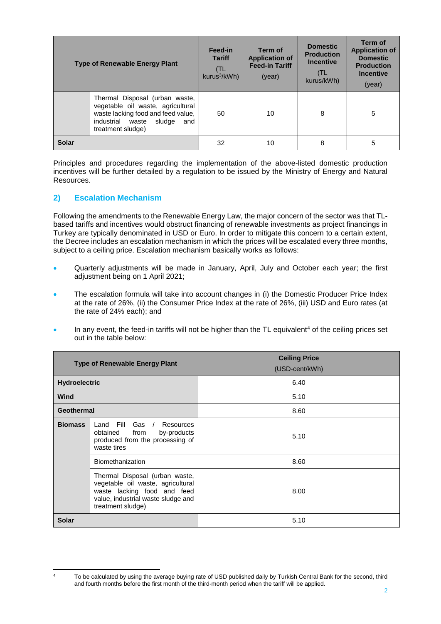| <b>Type of Renewable Energy Plant</b> |                                                                                                                                                                        | Feed-in<br><b>Tariff</b><br>(TL<br>kurus <sup>3</sup> /kWh) | <b>Term of</b><br><b>Application of</b><br><b>Feed-in Tariff</b><br>(year) | <b>Domestic</b><br><b>Production</b><br><b>Incentive</b><br>(TL<br>kurus/kWh) | Term of<br><b>Application of</b><br><b>Domestic</b><br><b>Production</b><br><b>Incentive</b><br>(year) |
|---------------------------------------|------------------------------------------------------------------------------------------------------------------------------------------------------------------------|-------------------------------------------------------------|----------------------------------------------------------------------------|-------------------------------------------------------------------------------|--------------------------------------------------------------------------------------------------------|
|                                       | Thermal Disposal (urban waste,<br>vegetable oil waste, agricultural<br>waste lacking food and feed value,<br>sludge<br>industrial<br>waste<br>and<br>treatment sludge) | 50                                                          | 10                                                                         | 8                                                                             | 5                                                                                                      |
| <b>Solar</b>                          |                                                                                                                                                                        | 32                                                          | 10                                                                         | 8                                                                             | 5                                                                                                      |

Principles and procedures regarding the implementation of the above-listed domestic production incentives will be further detailed by a regulation to be issued by the Ministry of Energy and Natural Resources.

## **2) Escalation Mechanism**

Following the amendments to the Renewable Energy Law, the major concern of the sector was that TLbased tariffs and incentives would obstruct financing of renewable investments as project financings in Turkey are typically denominated in USD or Euro. In order to mitigate this concern to a certain extent, the Decree includes an escalation mechanism in which the prices will be escalated every three months, subject to a ceiling price. Escalation mechanism basically works as follows:

- Quarterly adjustments will be made in January, April, July and October each year; the first adjustment being on 1 April 2021;
- The escalation formula will take into account changes in (i) the Domestic Producer Price Index at the rate of 26%, (ii) the Consumer Price Index at the rate of 26%, (iii) USD and Euro rates (at the rate of 24% each); and
- In any event, the feed-in tariffs will not be higher than the TL equivalent<sup>4</sup> of the ceiling prices set out in the table below:

| <b>Type of Renewable Energy Plant</b> |                                                                                                                                                               | <b>Ceiling Price</b><br>(USD-cent/kWh) |  |
|---------------------------------------|---------------------------------------------------------------------------------------------------------------------------------------------------------------|----------------------------------------|--|
| <b>Hydroelectric</b>                  |                                                                                                                                                               | 6.40                                   |  |
| Wind                                  |                                                                                                                                                               | 5.10                                   |  |
| Geothermal                            |                                                                                                                                                               | 8.60                                   |  |
| <b>Biomass</b>                        | Fill<br>Gas $/$<br>Land<br>Resources<br>by-products<br>obtained<br>from<br>produced from the processing of<br>waste tires                                     | 5.10                                   |  |
|                                       | Biomethanization                                                                                                                                              | 8.60                                   |  |
|                                       | Thermal Disposal (urban waste,<br>vegetable oil waste, agricultural<br>waste lacking food and feed<br>value, industrial waste sludge and<br>treatment sludge) | 8.00                                   |  |
| <b>Solar</b>                          |                                                                                                                                                               | 5.10                                   |  |

**<sup>.</sup>** 

To be calculated by using the average buying rate of USD published daily by Turkish Central Bank for the second, third and fourth months before the first month of the third-month period when the tariff will be applied.